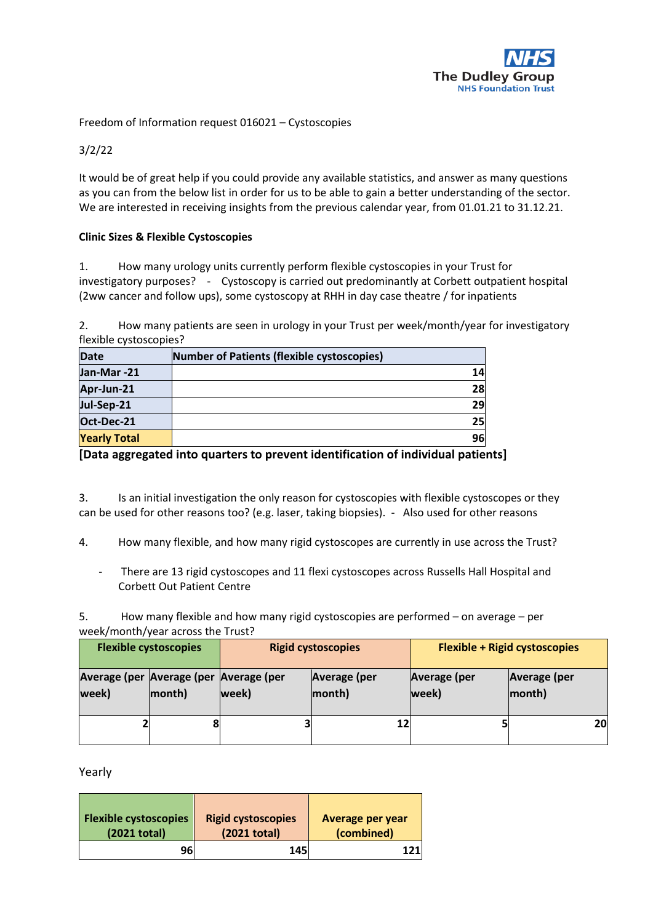

Freedom of Information request 016021 – Cystoscopies

3/2/22

It would be of great help if you could provide any available statistics, and answer as many questions as you can from the below list in order for us to be able to gain a better understanding of the sector. We are interested in receiving insights from the previous calendar year, from 01.01.21 to 31.12.21.

## **Clinic Sizes & Flexible Cystoscopies**

1. How many urology units currently perform flexible cystoscopies in your Trust for investigatory purposes? - Cystoscopy is carried out predominantly at Corbett outpatient hospital (2ww cancer and follow ups), some cystoscopy at RHH in day case theatre / for inpatients

2. How many patients are seen in urology in your Trust per week/month/year for investigatory flexible cystoscopies?

| <b>Date</b>         | Number of Patients (flexible cystoscopies) |
|---------------------|--------------------------------------------|
| Jan-Mar-21          |                                            |
| Apr-Jun-21          | 28                                         |
| Jul-Sep-21          | 29                                         |
| Oct-Dec-21          | 25 <sub>l</sub>                            |
| <b>Yearly Total</b> | 96                                         |

**[Data aggregated into quarters to prevent identification of individual patients]**

3. Is an initial investigation the only reason for cystoscopies with flexible cystoscopes or they can be used for other reasons too? (e.g. laser, taking biopsies). - Also used for other reasons

4. How many flexible, and how many rigid cystoscopes are currently in use across the Trust?

- There are 13 rigid cystoscopes and 11 flexi cystoscopes across Russells Hall Hospital and Corbett Out Patient Centre

5. How many flexible and how many rigid cystoscopies are performed – on average – per week/month/year across the Trust?

| <b>Flexible cystoscopies</b>                    |        | <b>Rigid cystoscopies</b> |                        | <b>Flexible + Rigid cystoscopies</b> |                               |
|-------------------------------------------------|--------|---------------------------|------------------------|--------------------------------------|-------------------------------|
| Average (per Average (per Average (per<br>week) | month) | week)                     | Average (per<br>month) | Average (per<br>week)                | <b>Average (per</b><br>month) |
|                                                 |        |                           | 12                     |                                      | 20                            |

Yearly

| <b>Flexible cystoscopies</b> | <b>Rigid cystoscopies</b> | <b>Average per year</b> |
|------------------------------|---------------------------|-------------------------|
| (2021 total)                 | (2021 total)              | (combined)              |
| 96                           | 145                       | 1211                    |